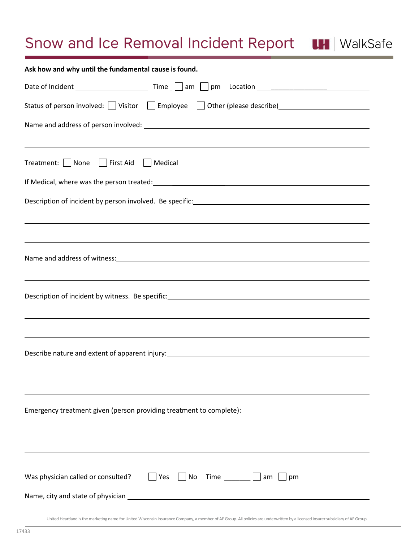## Snow and Ice Removal Incident Report UH | WalkSafe

| Ask how and why until the fundamental cause is found.                                                                                                                                               |
|-----------------------------------------------------------------------------------------------------------------------------------------------------------------------------------------------------|
|                                                                                                                                                                                                     |
| Status of person involved: U Visitor U Employee U Other (please describe) C Calculation C Visitor U Employee U                                                                                      |
| <u> 1989 - Andrea Barbara, Amerikaansk politiker (d. 1989)</u>                                                                                                                                      |
| Treatment:   None<br>    First Aid     Medical                                                                                                                                                      |
|                                                                                                                                                                                                     |
| Description of incident by person involved. Be specific: Network and the material control of incident by person involved. Be specific:<br><u> 1989 - John Stoff, amerikansk politiker (d. 1989)</u> |
| ,我们也不会有什么。""我们的人,我们也不会有什么?""我们的人,我们也不会有什么?""我们的人,我们也不会有什么?""我们的人,我们也不会有什么?""我们的人                                                                                                                    |
| <u> 1989 - Andrea Santana, amerikana amerikana amerikana amerikana amerikana amerikana amerikana amerikana amerika</u>                                                                              |
|                                                                                                                                                                                                     |
|                                                                                                                                                                                                     |
| Was physician called or consulted?<br>$ $ Yes<br>$\begin{array}{ c c c c c }\n\hline\n\end{array}$ No Time ______   am<br>pm                                                                        |

United Heartland is the marketing name for United Wisconsin Insurance Company, a member of AF Group. All policies are underwritten by a licensed insurer subsidiary of AF Group.